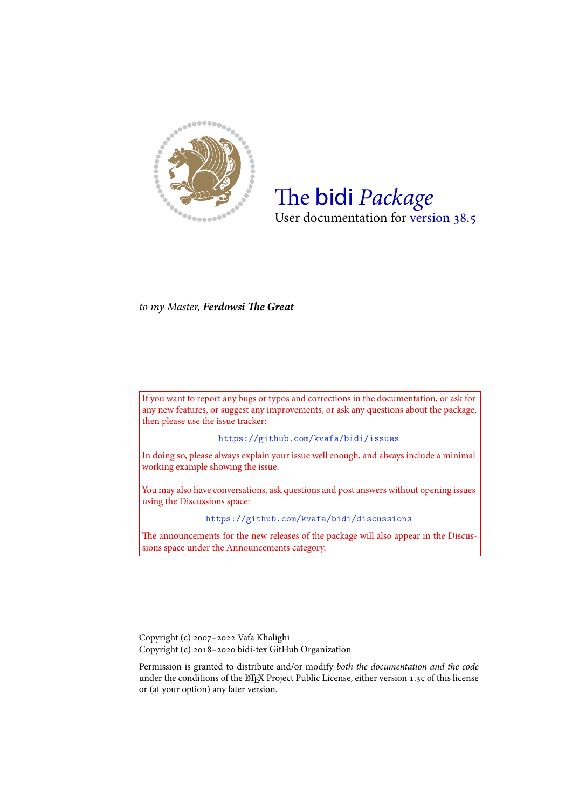

# The bidi *Package* User documentation for version 38.5

*to my Master, Ferdowsi The Great*

If you want to report any bugs or typos and corrections in the documentation, or ask for any new features, or suggest any improvements, or ask any questions about the package, then please use the issue tracker:

https://github.com/kvafa/bidi/issues

In doing so, please always explain your issue well enough, and always include a minimal working example showing the issue.

You may also have c[onversations, ask questions and post answers wit](https://github.com/kvafa/bidi/issues)hout opening issues using the Discussions space:

```
https://github.com/kvafa/bidi/discussions
```
The announcements for the new releases of the package will also appear in the Discussions space under the Announcements category.

Copyright (c) 2007–2022 Vafa Khalighi Copyright (c) 2018–2020 bidi-tex GitHub Organization

Permission is granted to distribute and/or modify *both the documentation and the code* under the conditions of the ETEX Project Public License, either version 1.3c of this license or (at your option) any later version.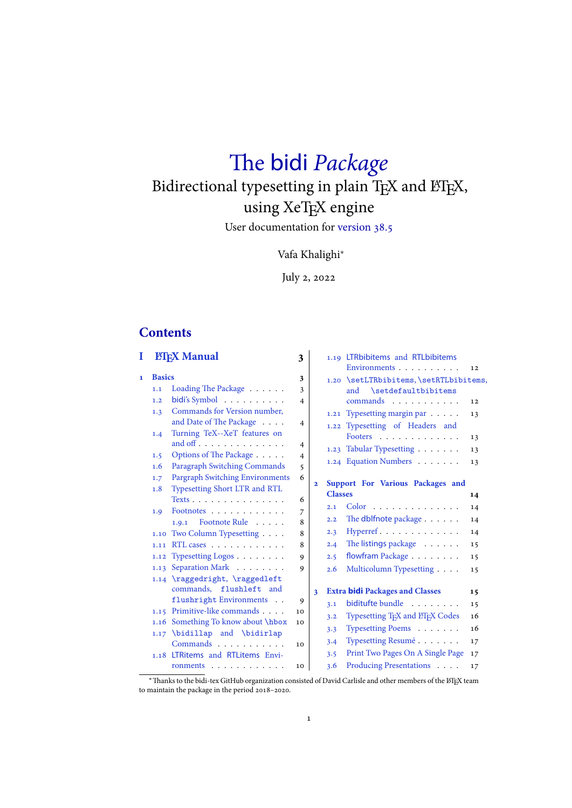# The bidi *Package* Bidirectional typesetting in plain TEX and ETEX, using XeTEX engine

User documentation for version 38.5

# Vafa Khalighi*<sup>∗</sup>*

July 2, 2022

# **Contents**

| I |               | <b>FIEX Manual</b>                     | 3                   |                |                | 1.19 LTRbibitems and RTLbibitems<br>Environments          | 12 |
|---|---------------|----------------------------------------|---------------------|----------------|----------------|-----------------------------------------------------------|----|
| 1 | <b>Basics</b> |                                        | 3                   |                |                | 1.20 \setLTRbibitems, \setRTLbibitems,                    |    |
|   | 1.1           | Loading The Package $\ldots$           | 3                   |                |                | \setdefaultbibitems<br>and                                |    |
|   | 1.2           | bidi's Symbol                          | $\overline{4}$      |                |                | commands                                                  | 12 |
|   | 1.3           | Commands for Version number,           |                     |                |                | 1.21 Typesetting margin par                               | 13 |
|   |               | and Date of The Package                | $\overline{4}$      |                |                | 1.22 Typesetting of Headers and                           |    |
|   | 1.4           | Turning TeX--XeT features on           |                     |                |                | Footers                                                   | 13 |
|   |               |                                        | 4                   |                |                | 1.23 Tabular Typesetting                                  | 13 |
|   | 1.5           | Options of The Package                 | $\overline{4}$      |                |                | 1.24 Equation Numbers                                     | 13 |
|   | 1.6           | Paragraph Switching Commands           | 5                   |                |                |                                                           |    |
|   | 1.7           | <b>Pargraph Switching Environments</b> | 6                   | $\overline{2}$ |                | Support For Various Packages and                          |    |
|   | 1.8           | Typesetting Short LTR and RTL          |                     |                | <b>Classes</b> |                                                           | 14 |
|   |               | Texts                                  | 6                   |                | 2.1            | Color                                                     | 14 |
|   | 1.9           | Footnotes<br>Footnote Rule<br>1.9.1    | $\overline{7}$<br>8 |                | 2.2            | The dblfnote package                                      | 14 |
|   |               | 1.10 Two Column Typesetting            | 8                   |                | 2.3            | Hyperref                                                  | 14 |
|   | 1.11          | RTL cases                              | 8                   |                | 2.4            | The listings package                                      | 15 |
|   |               | 1.12 Typesetting Logos $\ldots \ldots$ | 9                   |                | 2.5            | flowfram Package                                          | 15 |
|   |               | 1.13 Separation Mark                   | 9                   |                | 2.6            |                                                           |    |
|   |               | 1.14 \raggedright, \raggedleft         |                     |                |                | Multicolumn Typesetting                                   | 15 |
|   |               | commands, flushleft and                |                     | 3              |                | <b>Extra bidi Packages and Classes</b>                    | 15 |
|   |               | flushright Environments                | 9                   |                |                | biditufte bundle                                          |    |
|   |               | 1.15 Primitive-like commands           | 10                  |                | 3.1            |                                                           | 15 |
|   |               | 1.16 Something To know about \hbox     | 10                  |                | 3.2            | Typesetting T <sub>F</sub> X and LIF <sub>F</sub> X Codes | 16 |
|   |               | $1.17$ \bidillap and \bidirlap         |                     |                | 3.3            | Typesetting Poems                                         | 16 |
|   |               | Commands                               | 10                  |                | 3.4            | Typesetting Resumé                                        | 17 |
|   |               | 1.18 LTRitems and RTLitems Envi-       |                     |                | 3.5            | Print Two Pages On A Single Page                          | 17 |
|   |               | ronments                               | 10                  |                | 3.6            | Producing Presentations                                   | 17 |
|   |               |                                        |                     |                |                |                                                           |    |

<sup>∗</sup>[Thanks to the bidi-tex GitHub organization](#page-10-2) consisted of [David Carlisle and other mem](#page-16-1)[b](#page-17-0)ers of the L<sup>H</sup>EX team to maintai[n the package](#page-10-2) in the period 2018–2020.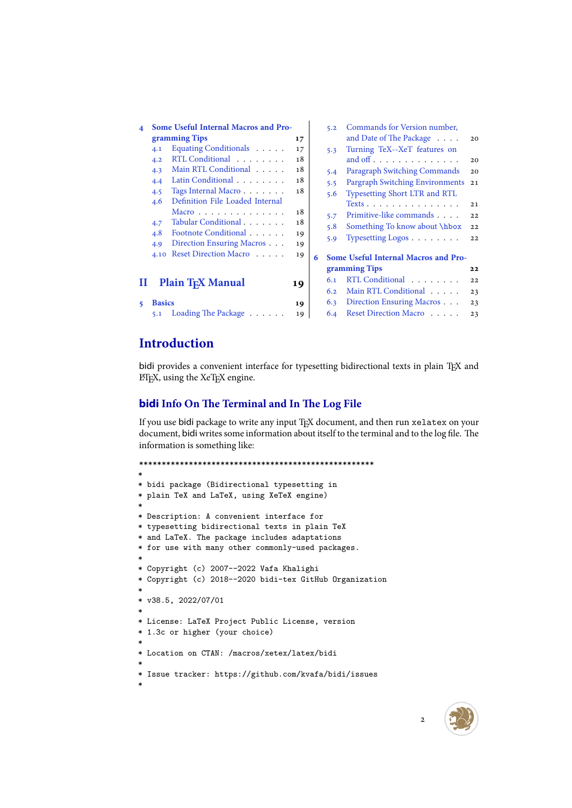| 4      | <b>Some Useful Internal Macros and Pro-</b><br>gramming Tips<br>Equating Conditionals<br>4.1<br>RTL Conditional<br>4.2<br>Main RTL Conditional<br>4.3<br>Latin Conditional<br>4.4<br>Tags Internal Macro<br>4.5<br>Definition File Loaded Internal<br>4.6<br>Macro $\dots \dots \dots \dots$<br>Tabular Conditional<br>4.7<br>Footnote Conditional<br>4.8 | 17<br>17<br>18<br>18<br>18<br>18<br>18<br>18<br>19 |   | 5.2<br>5.3<br>5.4<br>5.5<br>5.6<br>5.7<br>5.8 | Commands for Version number,<br>and Date of The Package<br>Turning TeX--XeT features on<br>Paragraph Switching Commands<br>Pargraph Switching Environments<br>Typesetting Short LTR and RTL<br>Texts<br>Primitive-like commands<br>Something To know about \hbox | 20<br>20<br>20<br>21<br>21<br>22<br>22 |
|--------|-----------------------------------------------------------------------------------------------------------------------------------------------------------------------------------------------------------------------------------------------------------------------------------------------------------------------------------------------------------|----------------------------------------------------|---|-----------------------------------------------|------------------------------------------------------------------------------------------------------------------------------------------------------------------------------------------------------------------------------------------------------------------|----------------------------------------|
| П<br>5 | Direction Ensuring Macros<br>4.9<br>Reset Direction Macro<br>4.10<br><b>Plain TEX Manual</b><br><b>Basics</b>                                                                                                                                                                                                                                             | 19<br>19<br>19<br>19                               | 6 | 5.9<br>6.1<br>6.2<br>6.3                      | Typesetting Logos $\ldots$<br><b>Some Useful Internal Macros and Pro-</b><br>gramming Tips<br>RTL Conditional<br>Main RTL Conditional<br>Direction Ensuring Macros                                                                                               | 22<br>22<br>22<br>23<br>23             |
|        | Loading The Package $\ldots$<br>5.1                                                                                                                                                                                                                                                                                                                       | 19                                                 |   | 6.4                                           | Reset Direction Macro                                                                                                                                                                                                                                            | 23                                     |

# **[Introd](#page-19-4)[uction](#page-19-3)**

bidi [provides a convenient](#page-19-5) interface for typesett[ing bidirectional texts in p](#page-23-0)lain TEX and LATEX, using the XeTEX engine.

## **bidi Info On The Terminal and In The Log File**

If you use bidi package to write any input TEX document, and then run xelatex on your document, bidi writes some information about itself to the terminal and to the log file. The information is something like:

```
****************************************************
*
* bidi package (Bidirectional typesetting in
* plain TeX and LaTeX, using XeTeX engine)
*
* Description: A convenient interface for
* typesetting bidirectional texts in plain TeX
* and LaTeX. The package includes adaptations
* for use with many other commonly-used packages.
*
* Copyright (c) 2007--2022 Vafa Khalighi
* Copyright (c) 2018--2020 bidi-tex GitHub Organization
*
* v38.5, 2022/07/01
*
* License: LaTeX Project Public License, version
* 1.3c or higher (your choice)
*
* Location on CTAN: /macros/xetex/latex/bidi
*
* Issue tracker: https://github.com/kvafa/bidi/issues
*
```


2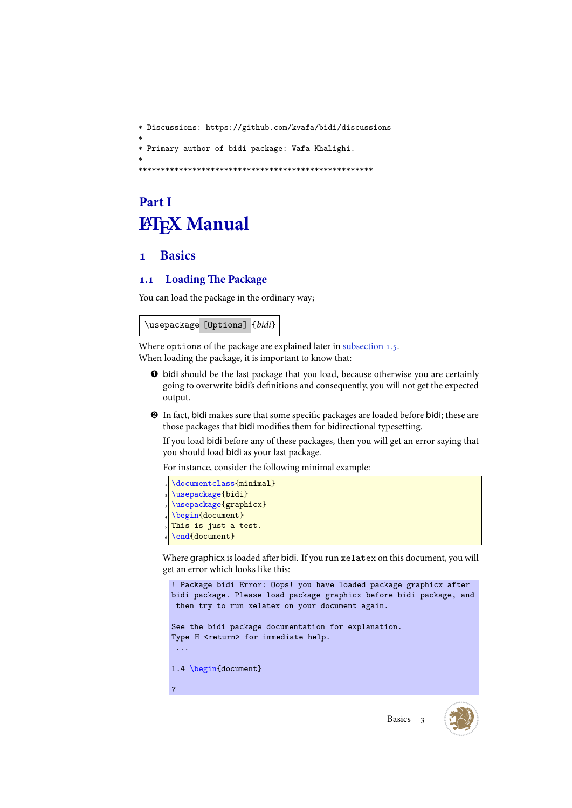\* Discussions: https://github.com/kvafa/bidi/discussions \* \* Primary author of bidi package: Vafa Khalighi. \* \*\*\*\*\*\*\*\*\*\*\*\*\*\*\*\*\*\*\*\*\*\*\*\*\*\*\*\*\*\*\*\*\*\*\*\*\*\*\*\*\*\*\*\*\*\*\*\*\*\*\*\*

# **Part I LATEX** Manual

# <span id="page-3-0"></span>**1 Basics**

# **1.1 Loading The Package**

<span id="page-3-1"></span>You can load the package in the ordinary way;

<span id="page-3-2"></span>\usepackage [Options] {*bidi*}

Where options of the package are explained later in subsection 1.5. When loading the package, it is important to know that:

- ➊ bidi should be the last package that you load, because otherwise you are certainly going to overwrite bidi's definitions and conseq[uently, you wil](#page-4-3)l not get the expected output.
- ➋ In fact, bidi makes sure that some specific packages are loaded before bidi; these are those packages that bidi modifies them for bidirectional typesetting.

If you load bidi before any of these packages, then you will get an error saying that you should load bidi as your last package.

For instance, consider the following minimal example:

```
\documentclass{minimal}
\usepackage{bidi}
\usepackage{graphicx}
\begin{document}
This is just a test.
\end{document}
```
Where graphicx is loaded after bidi. If you run xelatex on this document, you will get an error which looks like this:

```
! Package bidi Error: Oops! you have loaded package graphicx after
bidi package. Please load package graphicx before bidi package, and
then try to run xelatex on your document again.
See the bidi package documentation for explanation.
Type H <return> for immediate help.
...
l.4 \begin{document}
?
```
Basics 3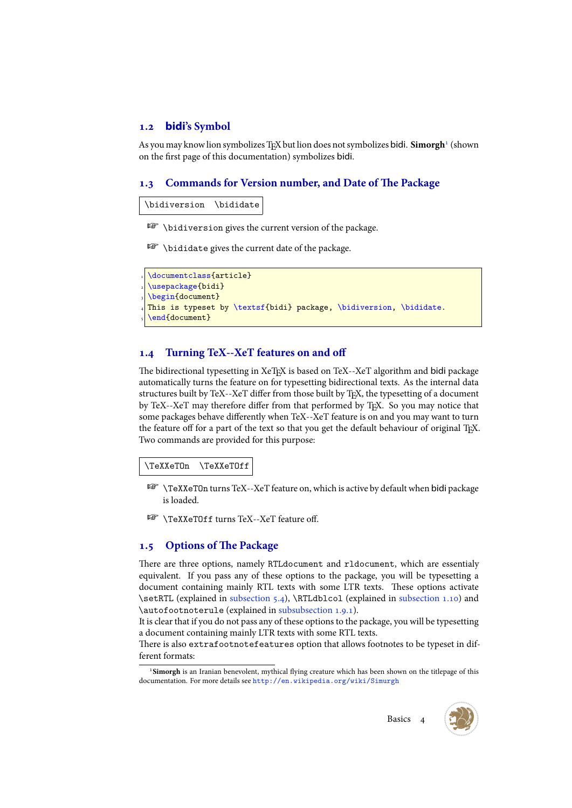#### **1.2 bidi's Symbol**

As you may know lion symbolizes TEX but lion does not symbolizes bidi. **Simorgh**<sup>1</sup> (shown on the first page of this documentation) symbolizes bidi.

#### <span id="page-4-0"></span>**1.3 Commands for Version number, and Date of The Package**

\bidiversion \bididate

<span id="page-4-1"></span>**B** \bidiversion gives the current version of the package.

**EF** \bididate gives the current date of the package.

```
\documentclass{article}
\usepackage{bidi}
\begin{document}
This is typeset by \textsf{bidi} package, \bidiversion, \bididate.
\end{document}
```
#### **1.4 Turning TeX--XeT features on and off**

<span id="page-4-2"></span>The bidirectional typesetting in XeTEX is based on TeX--XeT algorithm and bidi package automatically turns the feature on for typesetting bidirectional texts. As the internal data structures built by TeX--XeT differ from those built by TEX, the typesetting of a document by TeX--XeT may therefore differ from that performed by TEX. So you may notice that some packages behave differently when TeX--XeT feature is on and you may want to turn the feature off for a part of the text so that you get the default behaviour of original TEX. Two commands are provided for this purpose:

#### \TeXXeTOn \TeXXeTOff

- $\mathbb{F}$  \TeXXeTOn turns TeX--XeT feature on, which is active by default when bidi package is loaded.
- **EX** \TeXXeTOff turns TeX--XeT feature off.

#### **1.5 Options of The Package**

<span id="page-4-3"></span>There are three options, namely RTLdocument and rldocument, which are essentialy equivalent. If you pass any of these options to the package, you will be typesetting a document containing mainly RTL texts with some LTR texts. These options activate \setRTL (explained in subsection 5.4), \RTLdblcol (explained in subsection 1.10) and \autofootnoterule (explained in subsubsection 1.9.1).

It is clear that if you do not pass any of these options to the package, you will be typesetting a document containing mainly LTR texts with some RTL texts.

There is also extrafoo[tnotefeature](#page-20-2)s option that allows footnot[es to be typeset i](#page-8-1)n different formats:

<sup>&</sup>lt;sup>1</sup>Simorgh is an Iranian benevolent, mythical flying creature which has been shown on the titlepage of this documentation. For more details see http://en.wikipedia.org/wiki/Simurgh

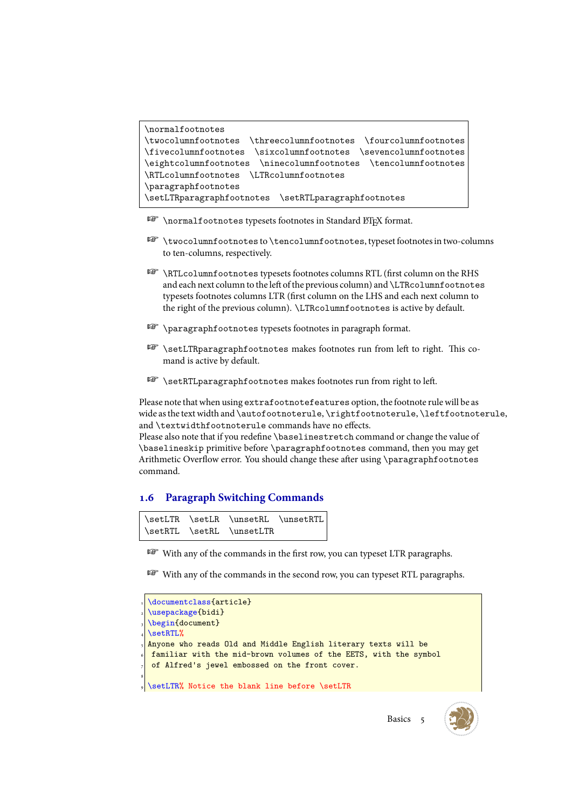```
\normalfootnotes
\twocolumnfootnotes \threecolumnfootnotes \fourcolumnfootnotes
\fivecolumnfootnotes \sixcolumnfootnotes \sevencolumnfootnotes
\eightcolumnfootnotes \ninecolumnfootnotes \tencolumnfootnotes
\RTLcolumnfootnotes \LTRcolumnfootnotes
\paragraphfootnotes
\setLTRparagraphfootnotes \setRTLparagraphfootnotes
```
- **REP** \normalfootnotes typesets footnotes in Standard ET<sub>F</sub>X format.
- \twocolumnfootnotes to \tencolumnfootnotes, typeset footnotes in two-columns to ten-columns, respectively.
- **RTLcolumnfootnotes typesets footnotes columns RTL (first column on the RHS** and each next column to the left of the previous column) and \LTRcolumnfootnotes typesets footnotes columns LTR (first column on the LHS and each next column to the right of the previous column). \LTRcolumnfootnotes is active by default.
- **PET** \paragraphfootnotes typesets footnotes in paragraph format.
- **EF** \setLTRparagraphfootnotes makes footnotes run from left to right. This comand is active by default.
- **B** \setRTLparagraphfootnotes makes footnotes run from right to left.

Please note that when using extrafootnotefeatures option, the footnote rule will be as wide as the text width and \autofootnoterule, \rightfootnoterule, \leftfootnoterule, and \textwidthfootnoterule commands have no effects.

Please also note that if you redefine \baselinestretch command or change the value of \baselineskip primitive before \paragraphfootnotes command, then you may get Arithmetic Overflow error. You should change these after using \paragraphfootnotes command.

# <span id="page-5-0"></span>**1.6 Paragraph Switching Commands**

```
\setLTR \setLR \unsetRL \unsetRTL
\setRTL \setRL \unsetLTR
```
With any of the commands in the first row, you can typeset LTR paragraphs.

With any of the commands in the second row, you can typeset RTL paragraphs.



Basics<sub>5</sub>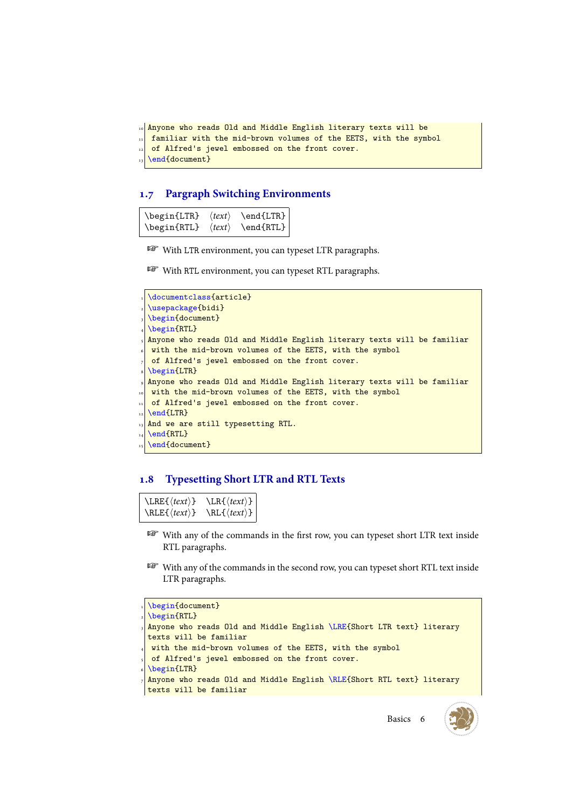```
10 Anyone who reads Old and Middle English literary texts will be
  familiar with the mid-brown volumes of the EETS, with the symbol
  of Alfred's jewel embossed on the front cover.
  \end{document}
```
#### <span id="page-6-0"></span>**1.7 Pargraph Switching Environments**

| \begin{LTR} |                        | $\langle text \rangle$ \end{LTR} |
|-------------|------------------------|----------------------------------|
| \begin{RTL} | $\langle text \rangle$ | $\end{RTL}$                      |

WE With LTR environment, you can typeset LTR paragraphs.

With RTL environment, you can typeset RTL paragraphs.

```
\documentclass{article}
\usepackage{bidi}
\begin{document}
\begin{RTL}
Anyone who reads Old and Middle English literary texts will be familiar
with the mid-brown volumes of the EETS, with the symbol
of Alfred's jewel embossed on the front cover.
\begin{LTR}
Anyone who reads Old and Middle English literary texts will be familiar
with the mid-brown volumes of the EETS, with the symbol
of Alfred's jewel embossed on the front cover.
\end{LTR}
And we are still typesetting RTL.
\end{RTL}\end{document}
```
### <span id="page-6-1"></span>**1.8 Typesetting Short LTR and RTL Texts**

```
\LRE{⟨text⟩} \LR{⟨text⟩}
\RLE{⟨text⟩} \RL{⟨text⟩}
```
- With any of the commands in the first row, you can typeset short LTR text inside RTL paragraphs.
- With any of the commands in the second row, you can typeset short RTL text inside LTR paragraphs.

```
\begin{document}
\begin{RTL}
Anyone who reads Old and Middle English \LRE{Short LTR text} literary
texts will be familiar
with the mid-brown volumes of the EETS, with the symbol
of Alfred's jewel embossed on the front cover.
\begin{LTR}
Anyone who reads Old and Middle English \RLE{Short RTL text} literary
texts will be familiar
```
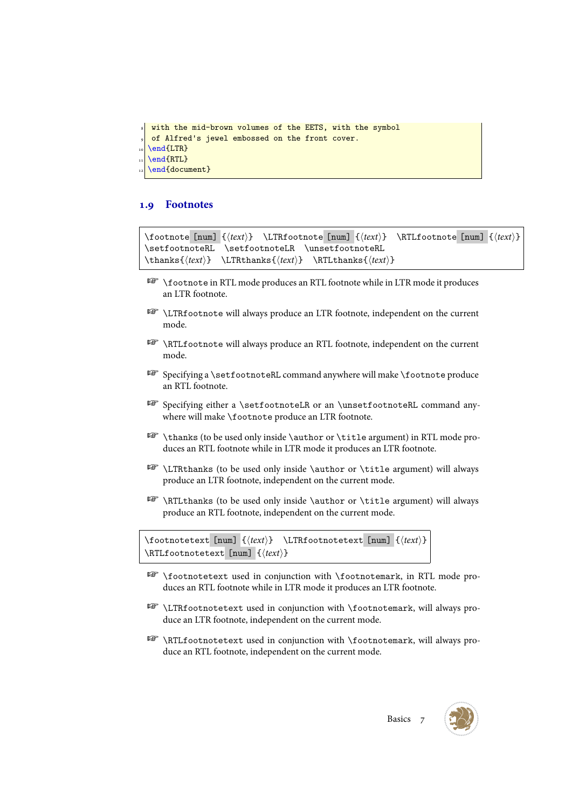```
with the mid-brown volumes of the EETS, with the symbol
of Alfred's jewel embossed on the front cover.
\end{LTR}
\end{RTL}
\end{document}
```
#### <span id="page-7-0"></span>**1.9 Footnotes**

\footnote [num] {*⟨text⟩*} \LTRfootnote [num] {*⟨text⟩*} \RTLfootnote [num] {*⟨text⟩*} \setfootnoteRL \setfootnoteLR \unsetfootnoteRL \thanks{*⟨text⟩*} \LTRthanks{*⟨text⟩*} \RTLthanks{*⟨text⟩*}

- \footnote in RTL mode produces an RTL footnote while in LTR mode it produces an LTR footnote.
- \LTRfootnote will always produce an LTR footnote, independent on the current mode.
- \RTLfootnote will always produce an RTL footnote, independent on the current mode.
- Specifying a \setfootnoteRL command anywhere will make \footnote produce an RTL footnote.
- Specifying either a \setfootnoteLR or an \unsetfootnoteRL command anywhere will make \footnote produce an LTR footnote.
- \thanks (to be used only inside \author or \title argument) in RTL mode produces an RTL footnote while in LTR mode it produces an LTR footnote.
- \LTRthanks (to be used only inside \author or \title argument) will always produce an LTR footnote, independent on the current mode.
- \RTLthanks (to be used only inside \author or \title argument) will always produce an RTL footnote, independent on the current mode.

\footnotetext [num] {*⟨text⟩*} \LTRfootnotetext [num] {*⟨text⟩*} \RTLfootnotetext [num] {*⟨text⟩*}

- \footnotetext used in conjunction with \footnotemark, in RTL mode produces an RTL footnote while in LTR mode it produces an LTR footnote.
- \LTRfootnotetext used in conjunction with \footnotemark, will always produce an LTR footnote, independent on the current mode.
- \RTLfootnotetext used in conjunction with \footnotemark, will always produce an RTL footnote, independent on the current mode.

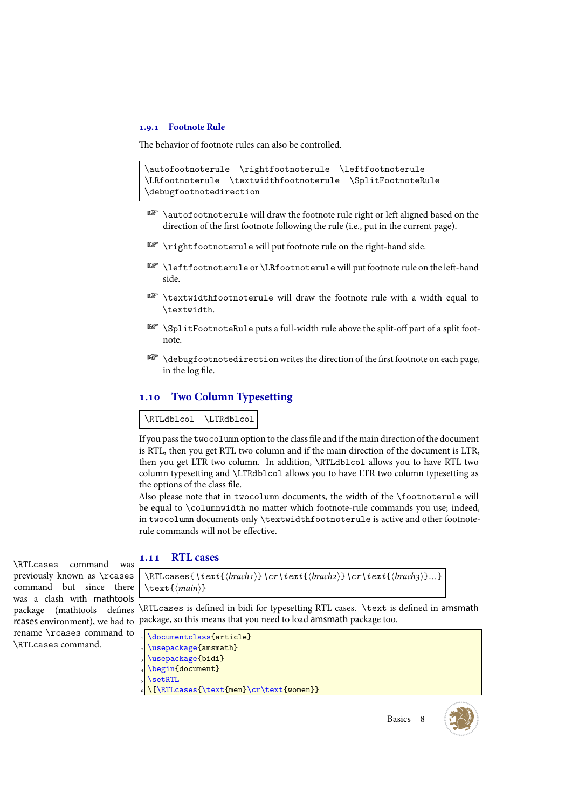#### <span id="page-8-0"></span>**1.9.1 Footnote Rule**

The behavior of footnote rules can also be controlled.

```
\autofootnoterule \rightfootnoterule \leftfootnoterule
\LRfootnoterule \textwidthfootnoterule \SplitFootnoteRule
\debugfootnotedirection
```
- **EF** \autofootnoterule will draw the footnote rule right or left aligned based on the direction of the first footnote following the rule (i.e., put in the current page).
- $\n \, \mathbb{P} \ \rightarrow \mathbb{P}$
- **B** \leftfootnoterule or \LRfootnoterule will put footnote rule on the left-hand side.
- \textwidthfootnoterule will draw the footnote rule with a width equal to \textwidth.
- \SplitFootnoteRule puts a full-width rule above the split-off part of a split footnote.
- $\mathbb{F}$  \debugfootnotedirection writes the direction of the first footnote on each page, in the log file.

#### <span id="page-8-1"></span>**1.10 Two Column Typesetting**

#### \RTLdblcol \LTRdblcol

If you pass the twocolumn option to the class file and if the main direction of the document is RTL, then you get RTL two column and if the main direction of the document is LTR, then you get LTR two column. In addition, \RTLdblcol allows you to have RTL two column typesetting and \LTRdblcol allows you to have LTR two column typesetting as the options of the class file.

Also please note that in twocolumn documents, the width of the \footnoterule will be equal to \columnwidth no matter which footnote-rule commands you use; indeed, in twocolumn documents only \textwidthfootnoterule is active and other footnoterule commands will not be effective.

# **1.11 RTL cases** \RTLcases command was

previously known as \rcases command but since there was a clash with mathtools rename \rcases command to \RTLcases command.

```
\RTLcases{\text{⟨brach1⟩}\cr\text{⟨brach2⟩}\cr\text{⟨brach3⟩}…}
\text{⟨main⟩}
```
package (mathtools defines \RTLcases is defined in bidi for typesetting RTL cases. \text is defined in amsmath rcases environment), we had to package, so this means that you need to load amsmath package too.

```
\documentclass{article}
\usepackage{amsmath}
\usepackage{bidi}
\begin{document}
\setRTL
6 \[\RTLcases{\text{men}\cr\text{women}}
```
Basics 8

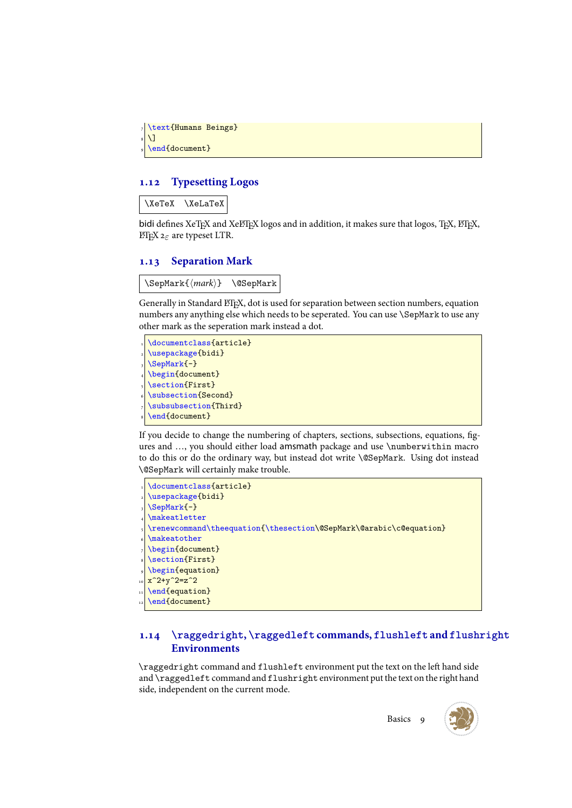```
\text{Humans Beings}
\overline{1}\end{document}
```
#### <span id="page-9-0"></span>**1.12 Typesetting Logos**

\XeTeX \XeLaTeX

bidi defines XeTEX and XeLTEX logos and in addition, it makes sure that logos, TEX, LATEX, LATEX 2*ε* are typeset LTR.

#### <span id="page-9-1"></span>**1.13 Separation Mark**

\SepMark{*⟨mark⟩*} \@SepMark

Generally in Standard LTEX, dot is used for separation between section numbers, equation numbers any anything else which needs to be seperated. You can use \SepMark to use any other mark as the seperation mark instead a dot.

\documentclass{article} \usepackage{bidi} \SepMark{-} \begin{document} \section{First} \subsection{Second} \subsubsection{Third} \end{document}

If you decide to change the numbering of chapters, sections, subsections, equations, figures and …, you should either load amsmath package and use \numberwithin macro to do this or do the ordinary way, but instead dot write \@SepMark. Using dot instead \@SepMark will certainly make trouble.

```
\documentclass{article}
\usepackage{bidi}
\SepMark{-}
\makeatletter
\renewcommand\theequation{\thesection\@SepMark\@arabic\c@equation}
\makeatother
\begin{document}
\section{First}
\begin{equation}
x^2+y^2=z^2\end{equation}
\end{document}
```
# <span id="page-9-2"></span>**1.14 \raggedright, \raggedleft commands, flushleft and flushright Environments**

\raggedright command and flushleft environment put the text on the left hand side and \raggedleft command and flushright environment put the text on the right hand side, independent on the current mode.

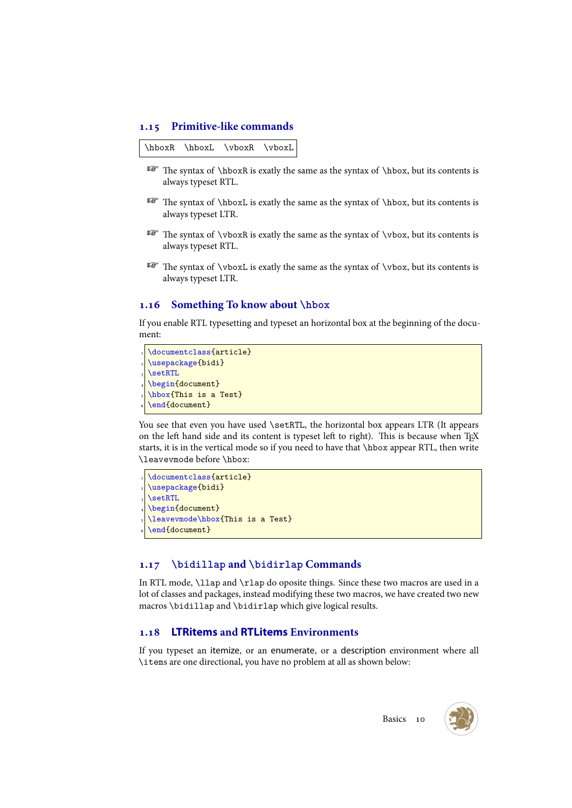#### <span id="page-10-0"></span>**1.15 Primitive-like commands**

\hboxR \hboxL \vboxR \vboxL

- $IF$  The syntax of \hboxR is exatly the same as the syntax of \hbox, but its contents is always typeset RTL.
- The syntax of \hboxL is exatly the same as the syntax of \hbox, but its contents is always typeset LTR.
- The syntax of \vboxR is exatly the same as the syntax of \vbox, but its contents is always typeset RTL.
- $\mathbb{F}$  The syntax of \vboxL is exatly the same as the syntax of \vbox, but its contents is always typeset LTR.

#### <span id="page-10-1"></span>**1.16 Something To know about \hbox**

If you enable RTL typesetting and typeset an horizontal box at the beginning of the document:

```
\documentclass{article}
\usepackage{bidi}
\setminussetRTL
\begin{document}
\hbox{This is a Test}
\end{document}
```
You see that even you have used \setRTL, the horizontal box appears LTR (It appears on the left hand side and its content is typeset left to right). This is because when TEX starts, it is in the vertical mode so if you need to have that \hbox appear RTL, then write \leavevmode before \hbox:

```
\documentclass{article}
\usepackage{bidi}
\setRTL
\begin{document}
\leavevmode\hbox{This is a Test}
\end{document}
```
#### <span id="page-10-2"></span>**1.17 \bidillap and \bidirlap Commands**

In RTL mode, \llap and \rlap do oposite things. Since these two macros are used in a lot of classes and packages, instead modifying these two macros, we have created two new macros \bidillap and \bidirlap which give logical results.

#### **1.18 LTRitems and RTLitems Environments**

If you typeset an itemize, or an enumerate, or a description environment where all \items are one directional, you have no problem at all as shown below:

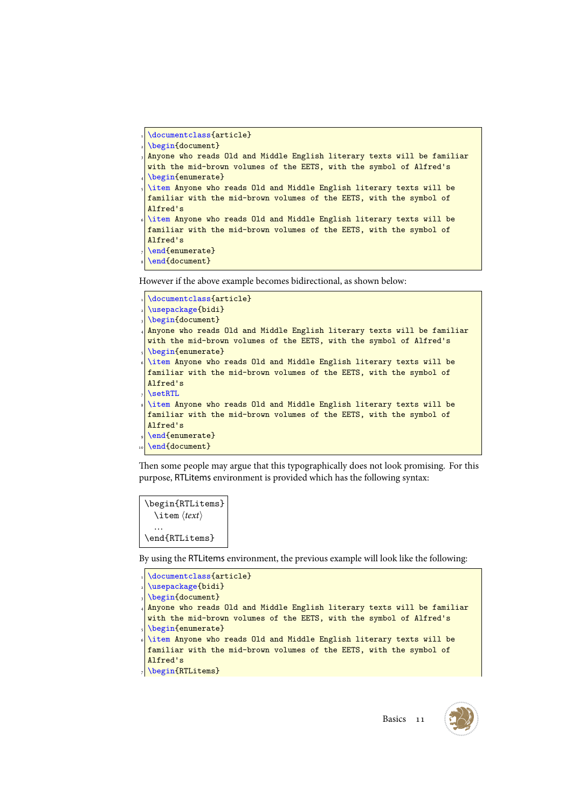```
\documentclass{article}
```

```
\begin{document}
```
- Anyone who reads Old and Middle English literary texts will be familiar with the mid-brown volumes of the EETS, with the symbol of Alfred's
- \begin{enumerate}
- \item Anyone who reads Old and Middle English literary texts will be familiar with the mid-brown volumes of the EETS, with the symbol of Alfred's
- \item Anyone who reads Old and Middle English literary texts will be familiar with the mid-brown volumes of the EETS, with the symbol of Alfred's
- \end{enumerate}
- \end{document}

However if the above example becomes bidirectional, as shown below:

```
\documentclass{article}
\usepackage{bidi}
\begin{document}
Anyone who reads Old and Middle English literary texts will be familiar
with the mid-brown volumes of the EETS, with the symbol of Alfred's
\begin{enumerate}
\item Anyone who reads Old and Middle English literary texts will be
familiar with the mid-brown volumes of the EETS, with the symbol of
Alfred's
\setRTL
\item Anyone who reads Old and Middle English literary texts will be
familiar with the mid-brown volumes of the EETS, with the symbol of
Alfred's
\end{enumerate}
\end{document}
```
Then some people may argue that this typographically does not look promising. For this purpose, RTLitems environment is provided which has the following syntax:

```
\begin{RTLitems}
  \item ⟨text⟩
  …
\end{RTLitems}
```
By using the RTLitems environment, the previous example will look like the following:

```
\documentclass{article}
 \usepackage{bidi}
 \begin{document}
 4 Anyone who reads Old and Middle English literary texts will be familiar
 with the mid-brown volumes of the EETS, with the symbol of Alfred's
 \begin{enumerate}
 \item Anyone who reads Old and Middle English literary texts will be
 familiar with the mid-brown volumes of the EETS, with the symbol of
 Alfred's
<sub>7</sub> \begin{RTLitems}
```
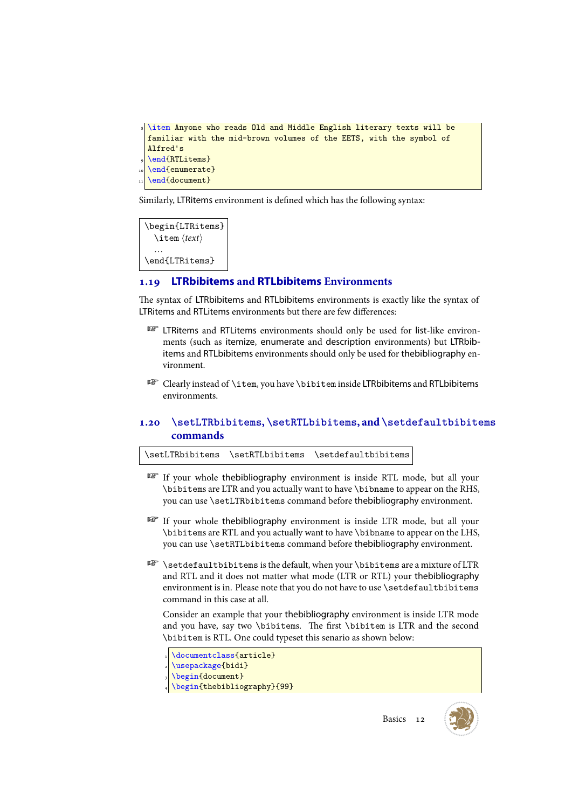```
8 \item Anyone who reads Old and Middle English literary texts will be
 familiar with the mid-brown volumes of the EETS, with the symbol of
 Alfred's
 \end{RTLitems}
 \end{enumerate}
 \end{document}
```
Similarly, LTRitems environment is defined which has the following syntax:

```
\begin{LTRitems}
  \item ⟨text⟩
  …
\end{LTRitems}
```
#### <span id="page-12-0"></span>**1.19 LTRbibitems and RTLbibitems Environments**

The syntax of LTRbibitems and RTLbibitems environments is exactly like the syntax of LTRitems and RTLitems environments but there are few differences:

- <sup>13</sup> LTRitems and RTLitems environments should only be used for list-like environments (such as itemize, enumerate and description environments) but LTRbibitems and RTLbibitems environments should only be used for thebibliography environment.
- Clearly instead of \item, you have \bibitem inside LTRbibitems and RTLbibitems environments.

### <span id="page-12-1"></span>**1.20 \setLTRbibitems, \setRTLbibitems, and \setdefaultbibitems commands**

\setLTRbibitems \setRTLbibitems \setdefaultbibitems

- If your whole thebibliography environment is inside RTL mode, but all your \bibitems are LTR and you actually want to have \bibname to appear on the RHS, you can use \setLTRbibitems command before thebibliography environment.
- If your whole thebibliography environment is inside LTR mode, but all your \bibitems are RTL and you actually want to have \bibname to appear on the LHS, you can use \setRTLbibitems command before thebibliography environment.
- \setdefaultbibitems is the default, when your \bibitems are a mixture of LTR and RTL and it does not matter what mode (LTR or RTL) your thebibliography environment is in. Please note that you do not have to use \setdefaultbibitems command in this case at all.

Consider an example that your thebibliography environment is inside LTR mode and you have, say two \bibitems. The first \bibitem is LTR and the second \bibitem is RTL. One could typeset this senario as shown below:

- \documentclass{article}
- \usepackage{bidi}
- \begin{document}
- \begin{thebibliography}{99}



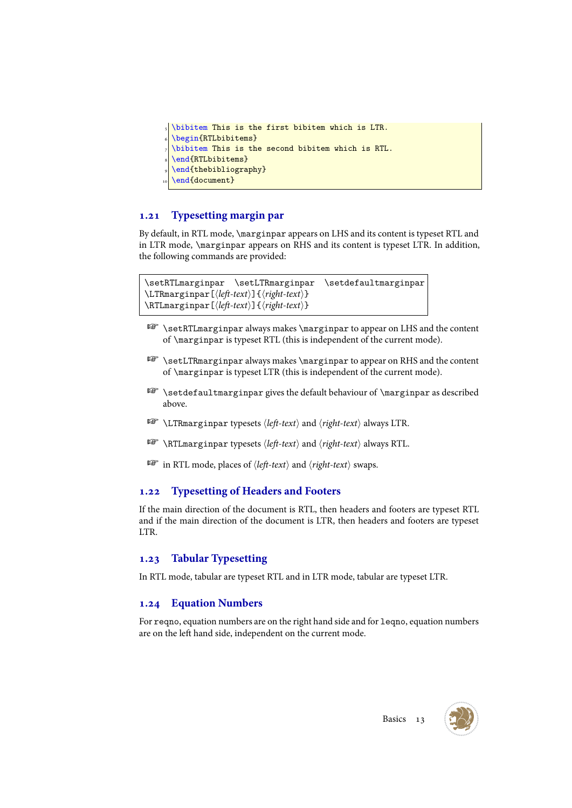```
\bibitem This is the first bibitem which is LTR.
\begin{RTLbibitems}
\bibitem This is the second bibitem which is RTL.
\end{RTLbibitems}
\end{thebibliography}
\end{document}
```
# <span id="page-13-0"></span>**1.21 Typesetting margin par**

By default, in RTL mode, \marginpar appears on LHS and its content is typeset RTL and in LTR mode, \marginpar appears on RHS and its content is typeset LTR. In addition, the following commands are provided:

```
\setRTLmarginpar \setLTRmarginpar \setdefaultmarginpar
\LTRmarginpar[⟨left-text⟩]{⟨right-text⟩}
\RTLmarginpar[⟨left-text⟩]{⟨right-text⟩}
```
- **EXECUTE SET LEARTLE EXECUTE:** \setRTLE arginpar always makes \marginpar to appear on LHS and the content of \marginpar is typeset RTL (this is independent of the current mode).
- **B** \setLTRmarginpar always makes \marginpar to appear on RHS and the content of \marginpar is typeset LTR (this is independent of the current mode).
- \setdefaultmarginpar gives the default behaviour of \marginpar as described above.
- \LTRmarginpar typesets *⟨left-text⟩* and *⟨right-text⟩* always LTR.
- \RTLmarginpar typesets *⟨left-text⟩* and *⟨right-text⟩* always RTL.
- in RTL mode, places of *⟨left-text⟩* and *⟨right-text⟩* swaps.

# <span id="page-13-1"></span>**1.22 Typesetting of Headers and Footers**

If the main direction of the document is RTL, then headers and footers are typeset RTL and if the main direction of the document is LTR, then headers and footers are typeset LTR.

# <span id="page-13-2"></span>**1.23 Tabular Typesetting**

In RTL mode, tabular are typeset RTL and in LTR mode, tabular are typeset LTR.

# <span id="page-13-3"></span>**1.24 Equation Numbers**

For reqno, equation numbers are on the right hand side and for leqno, equation numbers are on the left hand side, independent on the current mode.

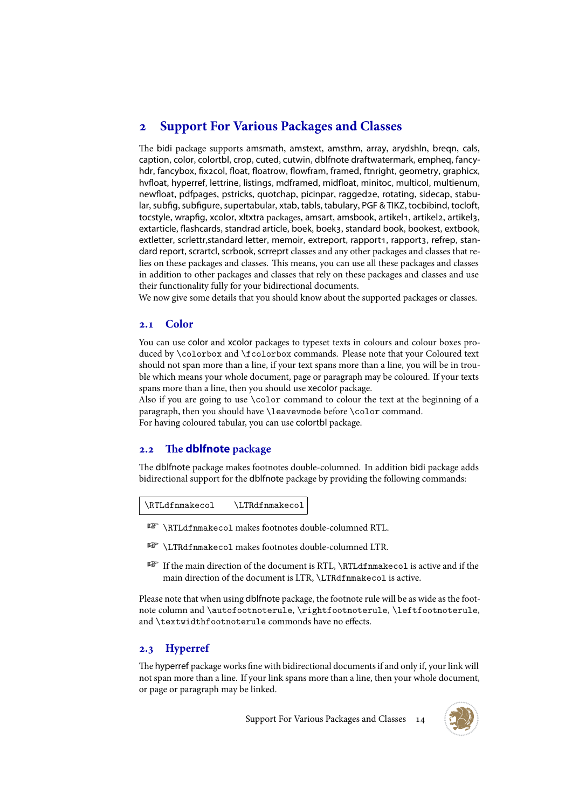# <span id="page-14-0"></span>**2 Support For Various Packages and Classes**

The bidi package supports amsmath, amstext, amsthm, array, arydshln, breqn, cals, caption, color, colortbl, crop, cuted, cutwin, dblfnote draftwatermark, empheq, fancyhdr, fancybox, fix2col, float, floatrow, flowfram, framed, ftnright, geometry, graphicx, hvfloat, hyperref, lettrine, listings, mdframed, midfloat, minitoc, multicol, multienum, newfloat, pdfpages, pstricks, quotchap, picinpar, ragged2e, rotating, sidecap, stabular, subfig, subfigure, supertabular, xtab, tabls, tabulary, PGF & TIKZ, tocbibind, tocloft, tocstyle, wrapfig, xcolor, xltxtra packages, amsart, amsbook, artikel1, artikel2, artikel3, extarticle, flashcards, standrad article, boek, boek3, standard book, bookest, extbook, extletter, scrlettr, standard letter, memoir, extreport, rapport1, rapport3, refrep, standard report, scrartcl, scrbook, scrreprt classes and any other packages and classes that relies on these packages and classes. This means, you can use all these packages and classes in addition to other packages and classes that rely on these packages and classes and use their functionality fully for your bidirectional documents.

We now give some details that you should know about the supported packages or classes.

#### <span id="page-14-1"></span>**2.1 Color**

You can use color and xcolor packages to typeset texts in colours and colour boxes produced by \colorbox and \fcolorbox commands. Please note that your Coloured text should not span more than a line, if your text spans more than a line, you will be in trouble which means your whole document, page or paragraph may be coloured. If your texts spans more than a line, then you should use xecolor package.

Also if you are going to use \color command to colour the text at the beginning of a paragraph, then you should have \leavevmode before \color command. For having coloured tabular, you can use colortbl package.

#### <span id="page-14-2"></span>**2.2 The dblfnote package**

The dblfnote package makes footnotes double-columned. In addition bidi package adds bidirectional support for the dblfnote package by providing the following commands:

| \RTLdfnmakecol | \LTRdfnmakecol |
|----------------|----------------|
|----------------|----------------|

- **AF** \RTLdfnmakecol makes footnotes double-columned RTL.
- **AP \LTRdfnmakecol makes footnotes double-columned LTR.**
- If the main direction of the document is RTL, \RTLdfnmakecol is active and if the main direction of the document is LTR, \LTRdfnmakecol is active.

Please note that when using dblfnote package, the footnote rule will be as wide as the footnote column and \autofootnoterule, \rightfootnoterule, \leftfootnoterule, and \textwidthfootnoterule commonds have no effects.

# **2.3 Hyperref**

The hyperref package works fine with bidirectional documents if and only if, your link will not span more than a line. If your link spans more than a line, then your whole document, or page or paragraph may be linked.

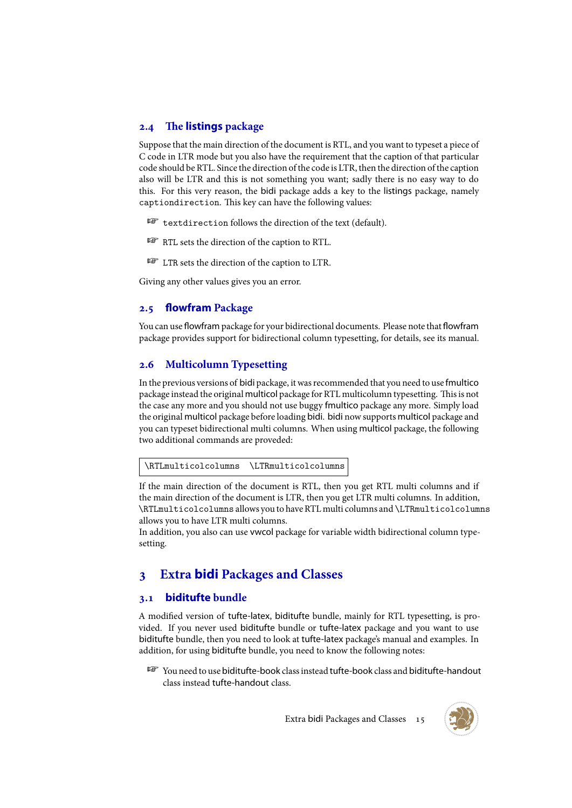## <span id="page-15-0"></span>**2.4 The listings package**

Suppose that the main direction of the document is RTL, and you want to typeset a piece of C code in LTR mode but you also have the requirement that the caption of that particular code should be RTL. Since the direction of the code is LTR, then the direction of the caption also will be LTR and this is not something you want; sadly there is no easy way to do this. For this very reason, the bidi package adds a key to the listings package, namely captiondirection. This key can have the following values:

- **For** textdirection follows the direction of the text (default).
- RTL sets the direction of the caption to RTL.
- LTR sets the direction of the caption to LTR.

Giving any other values gives you an error.

#### <span id="page-15-1"></span>**2.5 flowfram Package**

You can use flowfram package for your bidirectional documents. Please note that flowfram package provides support for bidirectional column typesetting, for details, see its manual.

#### <span id="page-15-2"></span>**2.6 Multicolumn Typesetting**

In the previous versions of bidi package, it was recommended that you need to use fmultico package instead the original multicol package for RTL multicolumn typesetting. This is not the case any more and you should not use buggy fmultico package any more. Simply load the original multicol package before loading bidi. bidi now supports multicol package and you can typeset bidirectional multi columns. When using multicol package, the following two additional commands are proveded:

\RTLmulticolcolumns \LTRmulticolcolumns

If the main direction of the document is RTL, then you get RTL multi columns and if the main direction of the document is LTR, then you get LTR multi columns. In addition, \RTLmulticolcolumns allows you to have RTL multi columns and \LTRmulticolcolumns allows you to have LTR multi columns.

In addition, you also can use vwcol package for variable width bidirectional column typesetting.

# <span id="page-15-3"></span>**3 Extra bidi Packages and Classes**

#### <span id="page-15-4"></span>**3.1 biditufte bundle**

A modified version of tufte-latex, biditufte bundle, mainly for RTL typesetting, is provided. If you never used biditufte bundle or tufte-latex package and you want to use biditufte bundle, then you need to look at tufte-latex package's manual and examples. In addition, for using biditufte bundle, you need to know the following notes:

F<sup>3</sup> You need to use biditufte-book class instead tufte-book class and biditufte-handout class instead tufte-handout class.

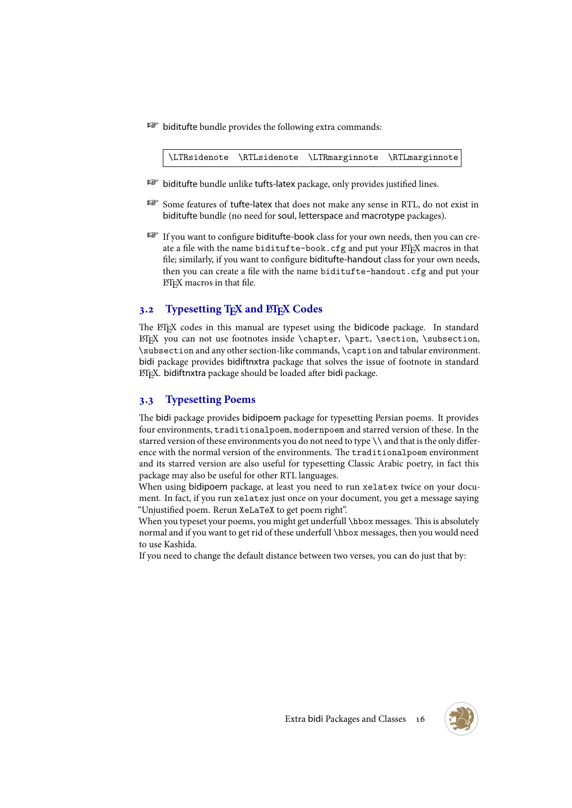**B** biditufte bundle provides the following extra commands:

\LTRsidenote \RTLsidenote \LTRmarginnote \RTLmarginnote

- **B** biditufte bundle unlike tufts-latex package, only provides justified lines.
- Some features of tufte-latex that does not make any sense in RTL, do not exist in biditufte bundle (no need for soul, letterspace and macrotype packages).
- If you want to configure biditufte-book class for your own needs, then you can create a file with the name biditufte-book.cfg and put your ETEX macros in that file; similarly, if you want to configure biditufte-handout class for your own needs, then you can create a file with the name biditufte-handout.cfg and put your LATEX macros in that file.

### <span id="page-16-0"></span>**3.2 Typesetting T<sub>E</sub>X and L<sup>H</sup>E<sub>X</sub> Codes**

The ETEX codes in this manual are typeset using the bidicode package. In standard  $ETr[X]$  you can not use footnotes inside \chapter, \part, \section, \subsection, \subsection and any other section-like commands, \caption and tabular environment. bidi package provides bidiftnxtra package that solves the issue of footnote in standard LATEX. bidiftnxtra package should be loaded after bidi package.

#### <span id="page-16-1"></span>**3.3 Typesetting Poems**

The bidi package provides bidipoem package for typesetting Persian poems. It provides four environments, traditionalpoem, modernpoem and starred version of these. In the starred version of these environments you do not need to type  $\setminus \$  and that is the only difference with the normal version of the environments. The traditionalpoem environment and its starred version are also useful for typesetting Classic Arabic poetry, in fact this package may also be useful for other RTL languages.

When using bidipoem package, at least you need to run xelatex twice on your document. In fact, if you run xelatex just once on your document, you get a message saying "Unjustified poem. Rerun XeLaTeX to get poem right".

When you typeset your poems, you might get underfull \hbox messages. This is absolutely normal and if you want to get rid of these underfull \hbox messages, then you would need to use Kashida.

If you need to change the default distance between two verses, you can do just that by:

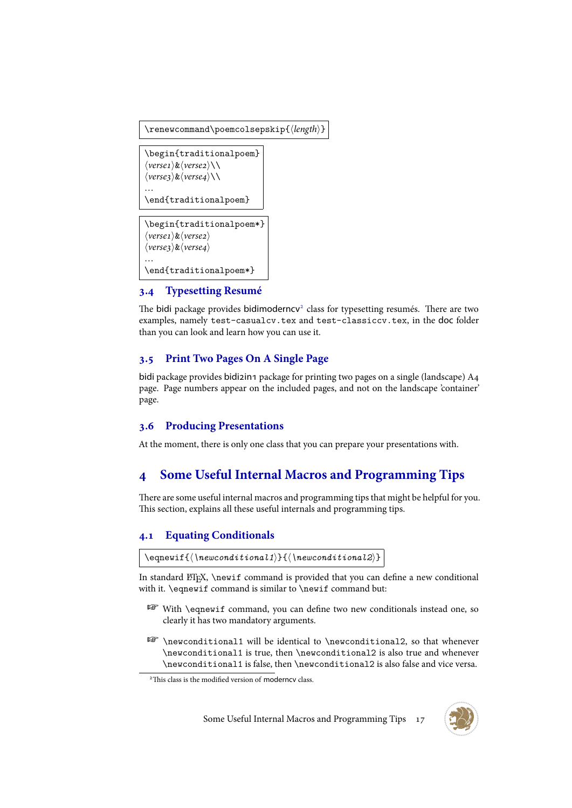```
\renewcommand\poemcolsepskip{⟨length⟩}
```

```
\begin{traditionalpoem}
⟨verse1⟩&⟨verse2⟩\\
⟨verse3⟩&⟨verse4⟩\\
…
\end{traditionalpoem}
```

```
\begin{traditionalpoem*}
⟨verse1⟩&⟨verse2⟩
⟨verse3⟩&⟨verse4⟩
…
\end{traditionalpoem*}
```
# **3.4 Typesetting Resumé**

The bidi package provides bidimoderncv<sup>2</sup> class for typesetting resumés. There are two examples, namely test-casualcv.tex and test-classiccv.tex, in the doc folder than you can look and learn how you can use it.

# <span id="page-17-0"></span>**3.5 Print Two Pages On A Singl[e](#page-17-3) Page**

bidi package provides bidizin package for printing two pages on a single (landscape)  $A_4$ page. Page numbers appear on the included pages, and not on the landscape 'container' page.

### **3.6 Producing Presentations**

At the moment, there is only one class that you can prepare your presentations with.

# **4 Some Useful Internal Macros and Programming Tips**

There are some useful internal macros and programming tips that might be helpful for you. This section, explains all these useful internals and programming tips.

# <span id="page-17-1"></span>**4.1 Equating Conditionals**

```
\eqnewif{⟨\newconditional1⟩}{⟨\newconditional2⟩}
```
<span id="page-17-2"></span>In standard ETEX, \newif command is provided that you can define a new conditional with it. \eqnewif command is similar to \newif command but:

- With \eqnewif command, you can define two new conditionals instead one, so clearly it has two mandatory arguments.
- **EF** \newconditional1 will be identical to \newconditional2, so that whenever \newconditional1 is true, then \newconditional2 is also true and whenever \newconditional1 is false, then \newconditional2 is also false and vice versa.



<span id="page-17-3"></span><sup>2</sup>This class is the modified version of moderncv class.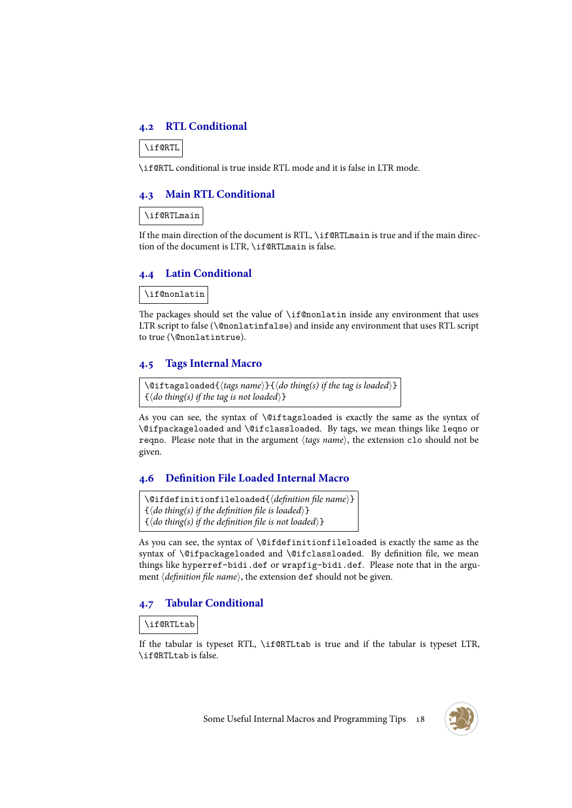#### <span id="page-18-0"></span>**4.2 RTL Conditional**

\if@RTL

\if@RTL conditional is true inside RTL mode and it is false in LTR mode.

#### <span id="page-18-1"></span>**4.3 Main RTL Conditional**

\if@RTLmain

If the main direction of the document is RTL, \if@RTLmain is true and if the main direction of the document is LTR, \if@RTLmain is false.

#### <span id="page-18-2"></span>**4.4 Latin Conditional**

\if@nonlatin

The packages should set the value of \if@nonlatin inside any environment that uses LTR script to false (\@nonlatinfalse) and inside any environment that uses RTL script to true (\@nonlatintrue).

#### <span id="page-18-3"></span>**4.5 Tags Internal Macro**

\@iftagsloaded{*⟨tags name⟩*}{*⟨do thing(s) if the tag is loaded⟩*} {*⟨do thing(s) if the tag is not loaded⟩*}

As you can see, the syntax of \@iftagsloaded is exactly the same as the syntax of \@ifpackageloaded and \@ifclassloaded. By tags, we mean things like leqno or reqno. Please note that in the argument *⟨tags name⟩*, the extension clo should not be given.

#### <span id="page-18-4"></span>**4.6 Definition File Loaded Internal Macro**

\@ifdefinitionfileloaded{*⟨definition file name⟩*} {*⟨do thing(s) if the definition file is loaded⟩*} {*⟨do thing(s) if the definition file is not loaded⟩*}

As you can see, the syntax of \@ifdefinitionfileloaded is exactly the same as the syntax of \@ifpackageloaded and \@ifclassloaded. By definition file, we mean things like hyperref-bidi.def or wrapfig-bidi.def. Please note that in the argument *⟨definition file name⟩*, the extension def should not be given.

#### **4.7 Tabular Conditional**

\if@RTLtab

If the tabular is typeset RTL, \if@RTLtab is true and if the tabular is typeset LTR, \if@RTLtab is false.

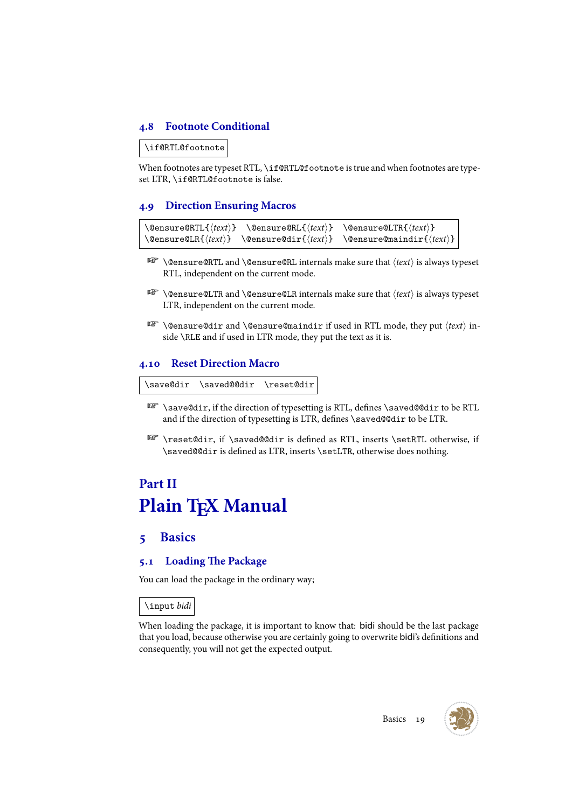# <span id="page-19-0"></span>**4.8 Footnote Conditional**

\if@RTL@footnote

When footnotes are typeset RTL, \if@RTL@footnote is true and when footnotes are typeset LTR, \if@RTL@footnote is false.

### <span id="page-19-1"></span>**4.9 Direction Ensuring Macros**

```
\@ensure@RTL{⟨text⟩} \@ensure@RL{⟨text⟩} \@ensure@LTR{⟨text⟩}
\@ensure@LR{⟨text⟩} \@ensure@dir{⟨text⟩} \@ensure@maindir{⟨text⟩}
```
- \@ensure@RTL and \@ensure@RL internals make sure that *⟨text⟩* is always typeset RTL, independent on the current mode.
- \@ensure@LTR and \@ensure@LR internals make sure that *⟨text⟩* is always typeset LTR, independent on the current mode.
- \@ensure@dir and \@ensure@maindir if used in RTL mode, they put *⟨text⟩* inside \RLE and if used in LTR mode, they put the text as it is.

### <span id="page-19-2"></span>**4.10 Reset Direction Macro**

\save@dir \saved@@dir \reset@dir

- \save@dir, if the direction of typesetting is RTL, defines \saved@@dir to be RTL and if the direction of typesetting is LTR, defines \saved@@dir to be LTR.
- \reset@dir, if \saved@@dir is defined as RTL, inserts \setRTL otherwise, if \saved@@dir is defined as LTR, inserts \setLTR, otherwise does nothing.

# <span id="page-19-3"></span>**Part II Plain TEX Manual**

# <span id="page-19-4"></span>**5 Basics**

# <span id="page-19-5"></span>**5.1 Loading The Package**

You can load the package in the ordinary way;

\input *bidi*

When loading the package, it is important to know that: bidi should be the last package that you load, because otherwise you are certainly going to overwrite bidi's definitions and consequently, you will not get the expected output.



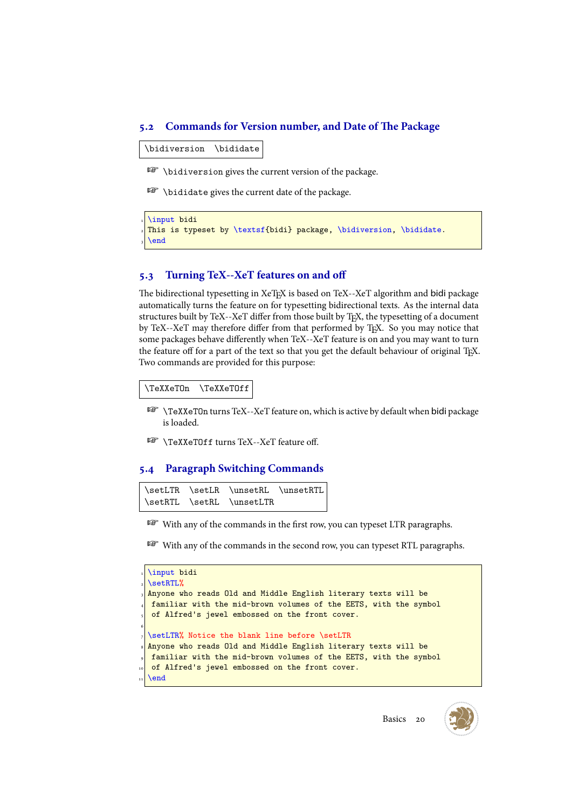#### <span id="page-20-0"></span>**5.2 Commands for Version number, and Date of The Package**

\bidiversion \bididate

 $\mathbb{F}$  \bidiversion gives the current version of the package.

 $\mathbb{F}$  \bididate gives the current date of the package.

```
\input bidi
This is typeset by \textsf{bidi} package, \bidiversion, \bididate.
\end
```
#### <span id="page-20-1"></span>**5.3 Turning TeX--XeT features on and off**

The bidirectional typesetting in XeTEX is based on TeX--XeT algorithm and bidi package automatically turns the feature on for typesetting bidirectional texts. As the internal data structures built by TeX--XeT differ from those built by TEX, the typesetting of a document by TeX--XeT may therefore differ from that performed by T<sub>E</sub>X. So you may notice that some packages behave differently when TeX--XeT feature is on and you may want to turn the feature off for a part of the text so that you get the default behaviour of original T<sub>E</sub>X. Two commands are provided for this purpose:

\TeXXeTOn \TeXXeTOff

- **ISP** \TeXXeTOn turns TeX--XeT feature on, which is active by default when bidi package is loaded.
- **REP** \TeXXeTOff turns TeX--XeT feature off.

#### <span id="page-20-2"></span>**5.4 Paragraph Switching Commands**

```
\setLTR \setLR \unsetRL \unsetRTL
\setRTL \setRL \unsetLTR
```
- With any of the commands in the first row, you can typeset LTR paragraphs.
- With any of the commands in the second row, you can typeset RTL paragraphs.

|   | a \input bidi                                                      |
|---|--------------------------------------------------------------------|
|   | $\vert$ \setRTL%                                                   |
|   | s Anyone who reads Old and Middle English literary texts will be   |
|   | 4 familiar with the mid-brown volumes of the EETS, with the symbol |
|   | of Alfred's jewel embossed on the front cover.                     |
| 6 |                                                                    |
|   | $\frac{1}{2}$ \setLTR% Notice the blank line before \setLTR        |
|   | s Anyone who reads Old and Middle English literary texts will be   |
|   | s familiar with the mid-brown volumes of the EETS, with the symbol |
|   | 10 of Alfred's jewel embossed on the front cover.                  |
|   | 11 \end                                                            |
|   |                                                                    |



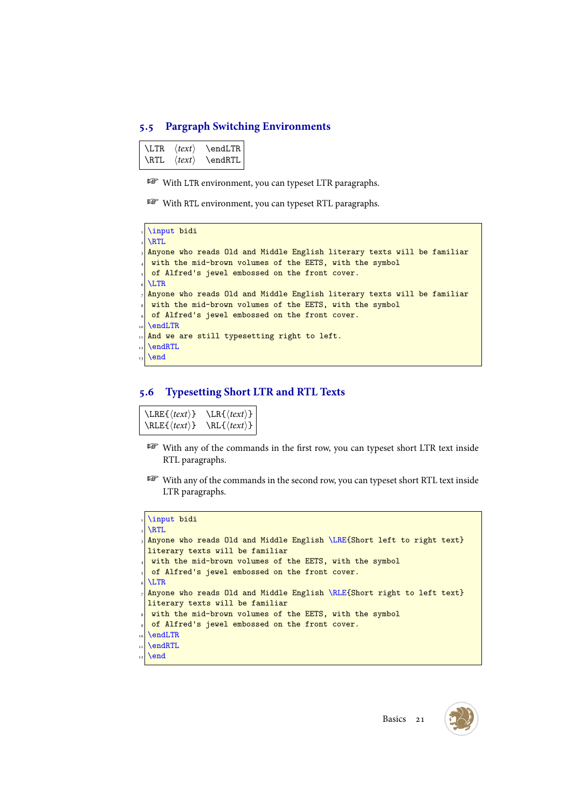#### <span id="page-21-0"></span>**5.5 Pargraph Switching Environments**

\LTR *⟨text⟩* \endLTR \RTL *⟨text⟩* \endRTL

**WE With LTR environment, you can typeset LTR paragraphs.** 

**WE With RTL environment, you can typeset RTL paragraphs.** 

```
\input bidi
\RTL
Anyone who reads Old and Middle English literary texts will be familiar
with the mid-brown volumes of the EETS, with the symbol
of Alfred's jewel embossed on the front cover.
\LTR
Anyone who reads Old and Middle English literary texts will be familiar
with the mid-brown volumes of the EETS, with the symbol
of Alfred's jewel embossed on the front cover.
\endLTR
And we are still typesetting right to left.
\endRTL
\end
```
#### <span id="page-21-1"></span>**5.6 Typesetting Short LTR and RTL Texts**

\LRE{*⟨text⟩*} \LR{*⟨text⟩*} \RLE{*⟨text⟩*} \RL{*⟨text⟩*}

- With any of the commands in the first row, you can typeset short LTR text inside RTL paragraphs.
- With any of the commands in the second row, you can typeset short RTL text inside LTR paragraphs.

```
\input bidi
\RTL
Anyone who reads Old and Middle English \LRE{Short left to right text}
literary texts will be familiar
with the mid-brown volumes of the EETS, with the symbol
of Alfred's jewel embossed on the front cover.
\LTR
Anyone who reads Old and Middle English \RLE{Short right to left text}
literary texts will be familiar
with the mid-brown volumes of the EETS, with the symbol
of Alfred's jewel embossed on the front cover.
\endLTR
\endRTL
\end
```
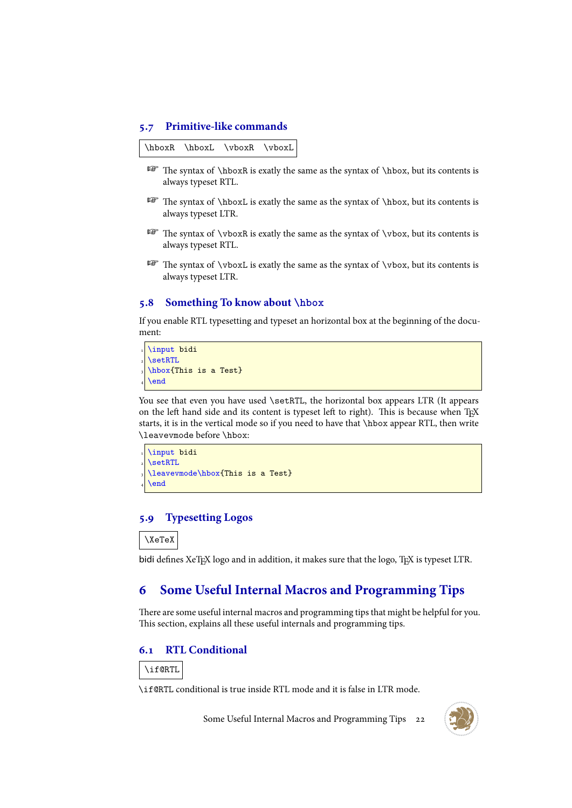#### <span id="page-22-0"></span>**5.7 Primitive-like commands**

\hboxR \hboxL \vboxR \vboxL

- The syntax of \hboxR is exatly the same as the syntax of \hbox, but its contents is always typeset RTL.
- $\mathbb{F}$  The syntax of \hboxL is exatly the same as the syntax of \hbox, but its contents is always typeset LTR.
- The syntax of \vboxR is exatly the same as the syntax of \vbox, but its contents is always typeset RTL.
- $F$  The syntax of  $\text{S}$  is exatly the same as the syntax of  $\text{S}$  but its contents is always typeset LTR.

#### <span id="page-22-1"></span>**5.8 Something To know about \hbox**

If you enable RTL typesetting and typeset an horizontal box at the beginning of the document:

```
\input bidi
\setRTL
\hbox{This is a Test}
\end
```
You see that even you have used \setRTL, the horizontal box appears LTR (It appears on the left hand side and its content is typeset left to right). This is because when TFX starts, it is in the vertical mode so if you need to have that \hbox appear RTL, then write \leavevmode before \hbox:

```
\input bidi
\setRTL
\leavevmode\hbox{This is a Test}
\end
```
#### <span id="page-22-2"></span>**5.9 Typesetting Logos**

\XeTeX

bidi defines XeTEX logo and in addition, it makes sure that the logo, TEX is typeset LTR.

# <span id="page-22-3"></span>**6 Some Useful Internal Macros and Programming Tips**

There are some useful internal macros and programming tips that might be helpful for you. This section, explains all these useful internals and programming tips.

# **6.1 RTL Conditional**



\if@RTL conditional is true inside RTL mode and it is false in LTR mode.

Some Useful Internal Macros and Programming Tips 22